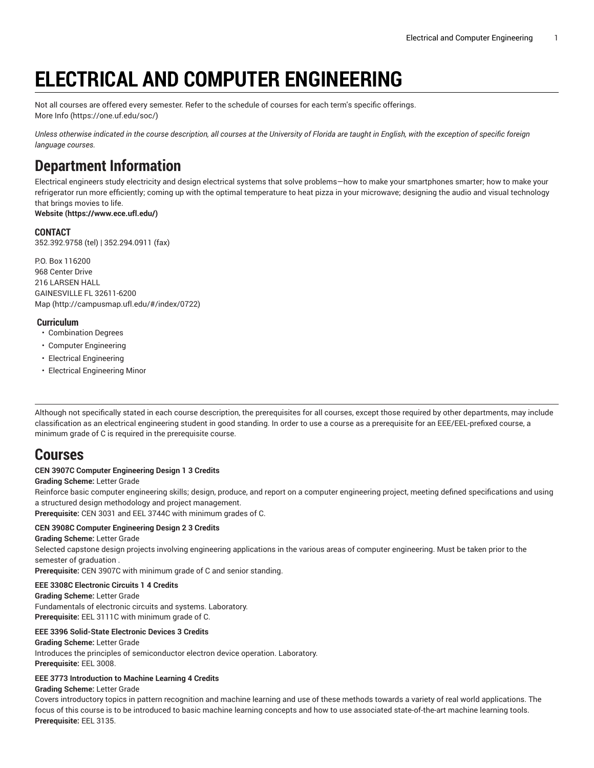# **ELECTRICAL AND COMPUTER ENGINEERING**

Not all courses are offered every semester. Refer to the schedule of courses for each term's specific offerings. [More](https://one.uf.edu/soc/) Info [\(https://one.uf.edu/soc/](https://one.uf.edu/soc/))

Unless otherwise indicated in the course description, all courses at the University of Florida are taught in English, with the exception of specific foreign *language courses.*

# **Department Information**

Electrical engineers study electricity and design electrical systems that solve problems—how to make your smartphones smarter; how to make your refrigerator run more efficiently; coming up with the optimal temperature to heat pizza in your microwave; designing the audio and visual technology that brings movies to life.

**[Website](https://www.ece.ufl.edu/) (<https://www.ece.ufl.edu/>)**

# **CONTACT**

352.392.9758 (tel) | 352.294.0911 (fax)

P.O. Box 116200 968 Center Drive 216 LARSEN HALL GAINESVILLE FL 32611-6200 [Map](http://campusmap.ufl.edu/#/index/0722) ([http://campusmap.ufl.edu/#/index/0722\)](http://campusmap.ufl.edu/#/index/0722)

# **Curriculum**

- Combination Degrees
- Computer Engineering
- Electrical Engineering
- Electrical Engineering Minor

Although not specifically stated in each course description, the prerequisites for all courses, except those required by other departments, may include classification as an electrical engineering student in good standing. In order to use a course as a prerequisite for an EEE/EEL-prefixed course, a minimum grade of C is required in the prerequisite course.

# **Courses**

# **CEN 3907C Computer Engineering Design 1 3 Credits**

**Grading Scheme:** Letter Grade

Reinforce basic computer engineering skills; design, produce, and report on a computer engineering project, meeting defined specifications and using a structured design methodology and project management.

**Prerequisite:** CEN 3031 and EEL 3744C with minimum grades of C.

# **CEN 3908C Computer Engineering Design 2 3 Credits**

**Grading Scheme:** Letter Grade

Selected capstone design projects involving engineering applications in the various areas of computer engineering. Must be taken prior to the semester of graduation .

**Prerequisite:** CEN 3907C with minimum grade of C and senior standing.

# **EEE 3308C Electronic Circuits 1 4 Credits**

**Grading Scheme:** Letter Grade Fundamentals of electronic circuits and systems. Laboratory. **Prerequisite:** EEL 3111C with minimum grade of C.

# **EEE 3396 Solid-State Electronic Devices 3 Credits**

**Grading Scheme:** Letter Grade Introduces the principles of semiconductor electron device operation. Laboratory. **Prerequisite:** EEL 3008.

# **EEE 3773 Introduction to Machine Learning 4 Credits**

**Grading Scheme:** Letter Grade

Covers introductory topics in pattern recognition and machine learning and use of these methods towards a variety of real world applications. The focus of this course is to be introduced to basic machine learning concepts and how to use associated state-of-the-art machine learning tools. **Prerequisite:** EEL 3135.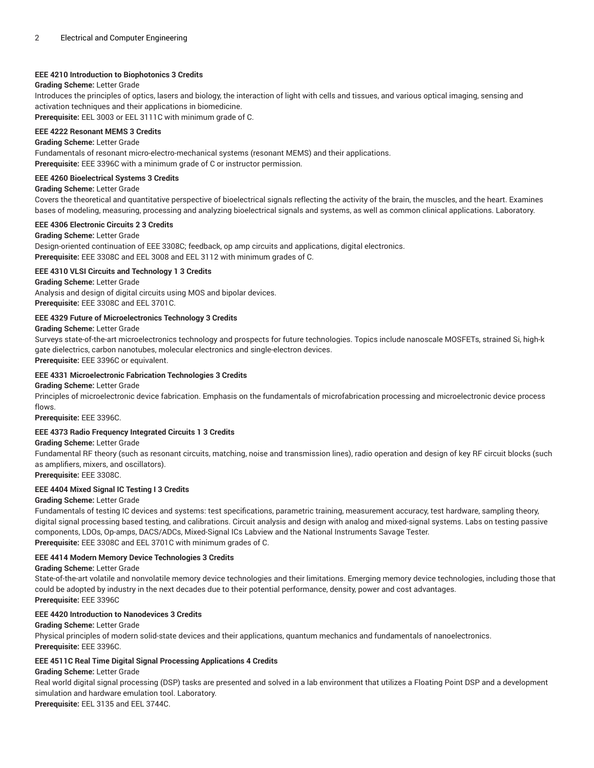# **EEE 4210 Introduction to Biophotonics 3 Credits**

#### **Grading Scheme:** Letter Grade

Introduces the principles of optics, lasers and biology, the interaction of light with cells and tissues, and various optical imaging, sensing and activation techniques and their applications in biomedicine.

**Prerequisite:** EEL 3003 or EEL 3111C with minimum grade of C.

# **EEE 4222 Resonant MEMS 3 Credits**

#### **Grading Scheme:** Letter Grade

Fundamentals of resonant micro-electro-mechanical systems (resonant MEMS) and their applications. **Prerequisite:** EEE 3396C with a minimum grade of C or instructor permission.

# **EEE 4260 Bioelectrical Systems 3 Credits**

# **Grading Scheme:** Letter Grade

Covers the theoretical and quantitative perspective of bioelectrical signals reflecting the activity of the brain, the muscles, and the heart. Examines bases of modeling, measuring, processing and analyzing bioelectrical signals and systems, as well as common clinical applications. Laboratory.

# **EEE 4306 Electronic Circuits 2 3 Credits**

#### **Grading Scheme:** Letter Grade

Design-oriented continuation of EEE 3308C; feedback, op amp circuits and applications, digital electronics. **Prerequisite:** EEE 3308C and EEL 3008 and EEL 3112 with minimum grades of C.

# **EEE 4310 VLSI Circuits and Technology 1 3 Credits**

**Grading Scheme:** Letter Grade

Analysis and design of digital circuits using MOS and bipolar devices. **Prerequisite:** EEE 3308C and EEL 3701C.

# **EEE 4329 Future of Microelectronics Technology 3 Credits**

**Grading Scheme:** Letter Grade

Surveys state-of-the-art microelectronics technology and prospects for future technologies. Topics include nanoscale MOSFETs, strained Si, high-k gate dielectrics, carbon nanotubes, molecular electronics and single-electron devices.

**Prerequisite:** EEE 3396C or equivalent.

# **EEE 4331 Microelectronic Fabrication Technologies 3 Credits**

#### **Grading Scheme:** Letter Grade

Principles of microelectronic device fabrication. Emphasis on the fundamentals of microfabrication processing and microelectronic device process flows.

**Prerequisite:** EEE 3396C.

# **EEE 4373 Radio Frequency Integrated Circuits 1 3 Credits**

#### **Grading Scheme:** Letter Grade

Fundamental RF theory (such as resonant circuits, matching, noise and transmission lines), radio operation and design of key RF circuit blocks (such as amplifiers, mixers, and oscillators).

**Prerequisite:** EEE 3308C.

# **EEE 4404 Mixed Signal IC Testing I 3 Credits**

#### **Grading Scheme:** Letter Grade

Fundamentals of testing IC devices and systems: test specifications, parametric training, measurement accuracy, test hardware, sampling theory, digital signal processing based testing, and calibrations. Circuit analysis and design with analog and mixed-signal systems. Labs on testing passive components, LDOs, Op-amps, DACS/ADCs, Mixed-Signal ICs Labview and the National Instruments Savage Tester. **Prerequisite:** EEE 3308C and EEL 3701C with minimum grades of C.

#### **EEE 4414 Modern Memory Device Technologies 3 Credits**

**Grading Scheme:** Letter Grade

State-of-the-art volatile and nonvolatile memory device technologies and their limitations. Emerging memory device technologies, including those that could be adopted by industry in the next decades due to their potential performance, density, power and cost advantages. **Prerequisite:** EEE 3396C

# **EEE 4420 Introduction to Nanodevices 3 Credits**

#### **Grading Scheme:** Letter Grade

Physical principles of modern solid-state devices and their applications, quantum mechanics and fundamentals of nanoelectronics. **Prerequisite:** EEE 3396C.

# **EEE 4511C Real Time Digital Signal Processing Applications 4 Credits**

**Grading Scheme:** Letter Grade

Real world digital signal processing (DSP) tasks are presented and solved in a lab environment that utilizes a Floating Point DSP and a development simulation and hardware emulation tool. Laboratory. **Prerequisite:** EEL 3135 and EEL 3744C.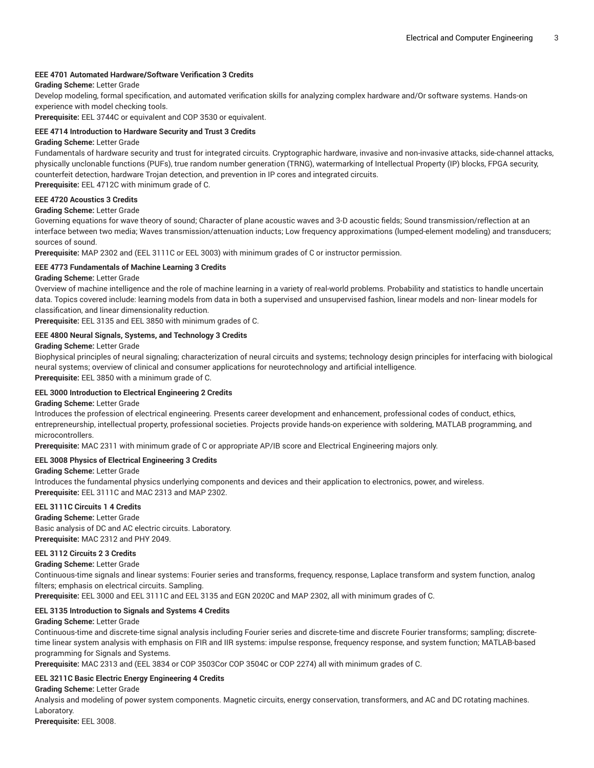# **EEE 4701 Automated Hardware/Software Verification 3 Credits**

# **Grading Scheme:** Letter Grade

Develop modeling, formal specification, and automated verification skills for analyzing complex hardware and/Or software systems. Hands-on experience with model checking tools.

**Prerequisite:** EEL 3744C or equivalent and COP 3530 or equivalent.

#### **EEE 4714 Introduction to Hardware Security and Trust 3 Credits**

#### **Grading Scheme:** Letter Grade

Fundamentals of hardware security and trust for integrated circuits. Cryptographic hardware, invasive and non-invasive attacks, side-channel attacks, physically unclonable functions (PUFs), true random number generation (TRNG), watermarking of Intellectual Property (IP) blocks, FPGA security, counterfeit detection, hardware Trojan detection, and prevention in IP cores and integrated circuits. **Prerequisite:** EEL 4712C with minimum grade of C.

**EEE 4720 Acoustics 3 Credits**

# **Grading Scheme:** Letter Grade

Governing equations for wave theory of sound; Character of plane acoustic waves and 3-D acoustic fields; Sound transmission/reflection at an interface between two media; Waves transmission/attenuation inducts; Low frequency approximations (lumped-element modeling) and transducers; sources of sound.

**Prerequisite:** MAP 2302 and (EEL 3111C or EEL 3003) with minimum grades of C or instructor permission.

#### **EEE 4773 Fundamentals of Machine Learning 3 Credits**

# **Grading Scheme:** Letter Grade

Overview of machine intelligence and the role of machine learning in a variety of real-world problems. Probability and statistics to handle uncertain data. Topics covered include: learning models from data in both a supervised and unsupervised fashion, linear models and non- linear models for classification, and linear dimensionality reduction.

**Prerequisite:** EEL 3135 and EEL 3850 with minimum grades of C.

#### **EEE 4800 Neural Signals, Systems, and Technology 3 Credits**

#### **Grading Scheme:** Letter Grade

Biophysical principles of neural signaling; characterization of neural circuits and systems; technology design principles for interfacing with biological neural systems; overview of clinical and consumer applications for neurotechnology and artificial intelligence.

**Prerequisite:** EEL 3850 with a minimum grade of C.

#### **EEL 3000 Introduction to Electrical Engineering 2 Credits**

#### **Grading Scheme:** Letter Grade

Introduces the profession of electrical engineering. Presents career development and enhancement, professional codes of conduct, ethics, entrepreneurship, intellectual property, professional societies. Projects provide hands-on experience with soldering, MATLAB programming, and microcontrollers.

**Prerequisite:** MAC 2311 with minimum grade of C or appropriate AP/IB score and Electrical Engineering majors only.

#### **EEL 3008 Physics of Electrical Engineering 3 Credits**

**Grading Scheme:** Letter Grade

Introduces the fundamental physics underlying components and devices and their application to electronics, power, and wireless. **Prerequisite:** EEL 3111C and MAC 2313 and MAP 2302.

# **EEL 3111C Circuits 1 4 Credits**

**Grading Scheme:** Letter Grade Basic analysis of DC and AC electric circuits. Laboratory. **Prerequisite:** MAC 2312 and PHY 2049.

#### **EEL 3112 Circuits 2 3 Credits**

**Grading Scheme:** Letter Grade

Continuous-time signals and linear systems: Fourier series and transforms, frequency, response, Laplace transform and system function, analog filters; emphasis on electrical circuits. Sampling.

**Prerequisite:** EEL 3000 and EEL 3111C and EEL 3135 and EGN 2020C and MAP 2302, all with minimum grades of C.

#### **EEL 3135 Introduction to Signals and Systems 4 Credits**

#### **Grading Scheme:** Letter Grade

Continuous-time and discrete-time signal analysis including Fourier series and discrete-time and discrete Fourier transforms; sampling; discretetime linear system analysis with emphasis on FIR and IIR systems: impulse response, frequency response, and system function; MATLAB-based programming for Signals and Systems.

**Prerequisite:** MAC 2313 and (EEL 3834 or COP 3503Cor COP 3504C or COP 2274) all with minimum grades of C.

#### **EEL 3211C Basic Electric Energy Engineering 4 Credits**

#### **Grading Scheme:** Letter Grade

Analysis and modeling of power system components. Magnetic circuits, energy conservation, transformers, and AC and DC rotating machines. Laboratory.

**Prerequisite:** EEL 3008.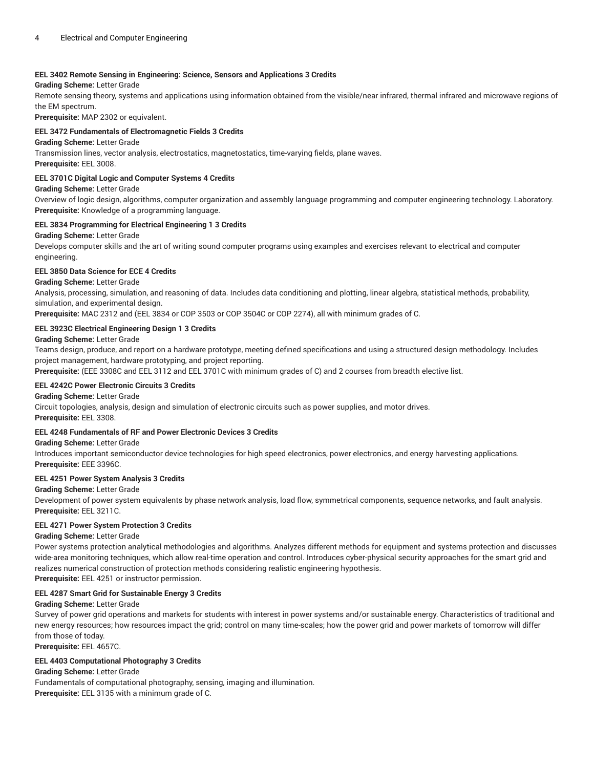# **EEL 3402 Remote Sensing in Engineering: Science, Sensors and Applications 3 Credits**

#### **Grading Scheme:** Letter Grade

Remote sensing theory, systems and applications using information obtained from the visible/near infrared, thermal infrared and microwave regions of the EM spectrum.

**Prerequisite:** MAP 2302 or equivalent.

# **EEL 3472 Fundamentals of Electromagnetic Fields 3 Credits**

#### **Grading Scheme:** Letter Grade

Transmission lines, vector analysis, electrostatics, magnetostatics, time-varying fields, plane waves.

**Prerequisite:** EEL 3008.

# **EEL 3701C Digital Logic and Computer Systems 4 Credits**

#### **Grading Scheme:** Letter Grade

Overview of logic design, algorithms, computer organization and assembly language programming and computer engineering technology. Laboratory. **Prerequisite:** Knowledge of a programming language.

# **EEL 3834 Programming for Electrical Engineering 1 3 Credits**

#### **Grading Scheme:** Letter Grade

Develops computer skills and the art of writing sound computer programs using examples and exercises relevant to electrical and computer engineering.

#### **EEL 3850 Data Science for ECE 4 Credits**

# **Grading Scheme:** Letter Grade

Analysis, processing, simulation, and reasoning of data. Includes data conditioning and plotting, linear algebra, statistical methods, probability, simulation, and experimental design.

**Prerequisite:** MAC 2312 and (EEL 3834 or COP 3503 or COP 3504C or COP 2274), all with minimum grades of C.

# **EEL 3923C Electrical Engineering Design 1 3 Credits**

#### **Grading Scheme:** Letter Grade

Teams design, produce, and report on a hardware prototype, meeting defined specifications and using a structured design methodology. Includes project management, hardware prototyping, and project reporting.

**Prerequisite:** (EEE 3308C and EEL 3112 and EEL 3701C with minimum grades of C) and 2 courses from breadth elective list.

#### **EEL 4242C Power Electronic Circuits 3 Credits**

#### **Grading Scheme:** Letter Grade

Circuit topologies, analysis, design and simulation of electronic circuits such as power supplies, and motor drives. **Prerequisite:** EEL 3308.

#### **EEL 4248 Fundamentals of RF and Power Electronic Devices 3 Credits**

#### **Grading Scheme:** Letter Grade

Introduces important semiconductor device technologies for high speed electronics, power electronics, and energy harvesting applications. **Prerequisite:** EEE 3396C.

#### **EEL 4251 Power System Analysis 3 Credits**

# **Grading Scheme:** Letter Grade

Development of power system equivalents by phase network analysis, load flow, symmetrical components, sequence networks, and fault analysis. **Prerequisite:** EEL 3211C.

#### **EEL 4271 Power System Protection 3 Credits**

#### **Grading Scheme:** Letter Grade

Power systems protection analytical methodologies and algorithms. Analyzes different methods for equipment and systems protection and discusses wide-area monitoring techniques, which allow real-time operation and control. Introduces cyber-physical security approaches for the smart grid and realizes numerical construction of protection methods considering realistic engineering hypothesis. **Prerequisite:** EEL 4251 or instructor permission.

# **EEL 4287 Smart Grid for Sustainable Energy 3 Credits**

#### **Grading Scheme:** Letter Grade

Survey of power grid operations and markets for students with interest in power systems and/or sustainable energy. Characteristics of traditional and new energy resources; how resources impact the grid; control on many time-scales; how the power grid and power markets of tomorrow will differ from those of today.

**Prerequisite:** EEL 4657C.

# **EEL 4403 Computational Photography 3 Credits**

# **Grading Scheme:** Letter Grade

Fundamentals of computational photography, sensing, imaging and illumination. **Prerequisite:** EEL 3135 with a minimum grade of C.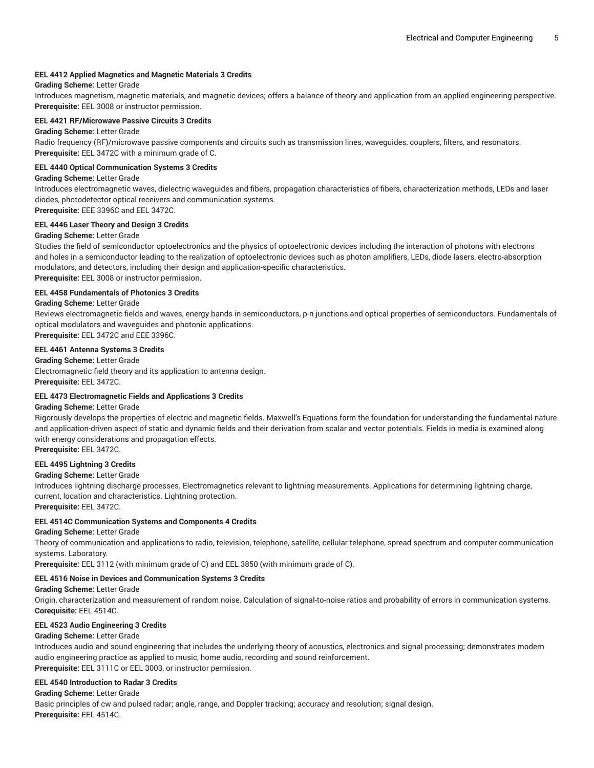#### **EEL 4412 Applied Magnetics and Magnetic Materials 3 Credits**

#### **Grading Scheme:** Letter Grade

Introduces magnetism, magnetic materials, and magnetic devices; offers a balance of theory and application from an applied engineering perspective. **Prerequisite:** EEL 3008 or instructor permission.

#### **EEL 4421 RF/Microwave Passive Circuits 3 Credits**

#### **Grading Scheme:** Letter Grade

Radio frequency (RF)/microwave passive components and circuits such as transmission lines, waveguides, couplers, filters, and resonators. **Prerequisite:** EEL 3472C with a minimum grade of C.

#### **EEL 4440 Optical Communication Systems 3 Credits**

#### **Grading Scheme:** Letter Grade

Introduces electromagnetic waves, dielectric waveguides and fibers, propagation characteristics of fibers, characterization methods, LEDs and laser diodes, photodetector optical receivers and communication systems. **Prerequisite:** EEE 3396C and EEL 3472C.

# **EEL 4446 Laser Theory and Design 3 Credits**

# **Grading Scheme:** Letter Grade

Studies the field of semiconductor optoelectronics and the physics of optoelectronic devices including the interaction of photons with electrons and holes in a semiconductor leading to the realization of optoelectronic devices such as photon amplifiers, LEDs, diode lasers, electro-absorption modulators, and detectors, including their design and application-specific characteristics. **Prerequisite:** EEL 3008 or instructor permission.

#### **EEL 4458 Fundamentals of Photonics 3 Credits**

#### **Grading Scheme:** Letter Grade

Reviews electromagnetic fields and waves, energy bands in semiconductors, p-n junctions and optical properties of semiconductors. Fundamentals of optical modulators and waveguides and photonic applications. **Prerequisite:** EEL 3472C and EEE 3396C.

# **EEL 4461 Antenna Systems 3 Credits**

**Grading Scheme:** Letter Grade

Electromagnetic field theory and its application to antenna design. **Prerequisite:** EEL 3472C.

#### **EEL 4473 Electromagnetic Fields and Applications 3 Credits**

### **Grading Scheme:** Letter Grade

Rigorously develops the properties of electric and magnetic fields. Maxwell's Equations form the foundation for understanding the fundamental nature and application-driven aspect of static and dynamic fields and their derivation from scalar and vector potentials. Fields in media is examined along with energy considerations and propagation effects. **Prerequisite:** EEL 3472C.

#### **EEL 4495 Lightning 3 Credits**

**Grading Scheme:** Letter Grade

Introduces lightning discharge processes. Electromagnetics relevant to lightning measurements. Applications for determining lightning charge, current, location and characteristics. Lightning protection.

**Prerequisite:** EEL 3472C.

#### **EEL 4514C Communication Systems and Components 4 Credits**

#### **Grading Scheme:** Letter Grade

Theory of communication and applications to radio, television, telephone, satellite, cellular telephone, spread spectrum and computer communication systems. Laboratory.

**Prerequisite:** EEL 3112 (with minimum grade of C) and EEL 3850 (with minimum grade of C).

#### **EEL 4516 Noise in Devices and Communication Systems 3 Credits**

#### **Grading Scheme:** Letter Grade

Origin, characterization and measurement of random noise. Calculation of signal-to-noise ratios and probability of errors in communication systems. **Corequisite:** EEL 4514C.

#### **EEL 4523 Audio Engineering 3 Credits**

# **Grading Scheme:** Letter Grade

Introduces audio and sound engineering that includes the underlying theory of acoustics, electronics and signal processing; demonstrates modern audio engineering practice as applied to music, home audio, recording and sound reinforcement. **Prerequisite:** EEL 3111C or EEL 3003, or instructor permission.

#### **EEL 4540 Introduction to Radar 3 Credits**

**Grading Scheme:** Letter Grade

Basic principles of cw and pulsed radar; angle, range, and Doppler tracking; accuracy and resolution; signal design. **Prerequisite:** EEL 4514C.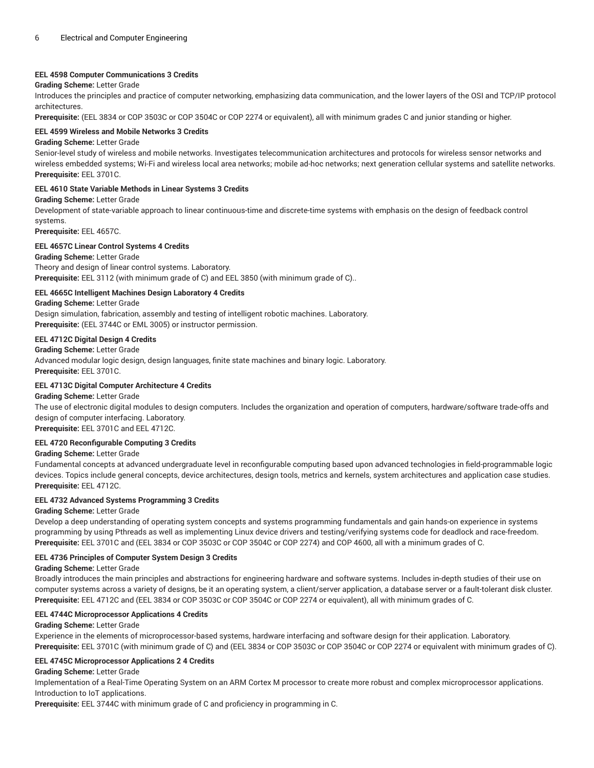# **EEL 4598 Computer Communications 3 Credits**

# **Grading Scheme:** Letter Grade

Introduces the principles and practice of computer networking, emphasizing data communication, and the lower layers of the OSI and TCP/IP protocol architectures.

**Prerequisite:** (EEL 3834 or COP 3503C or COP 3504C or COP 2274 or equivalent), all with minimum grades C and junior standing or higher.

# **EEL 4599 Wireless and Mobile Networks 3 Credits**

#### **Grading Scheme:** Letter Grade

Senior-level study of wireless and mobile networks. Investigates telecommunication architectures and protocols for wireless sensor networks and wireless embedded systems; Wi-Fi and wireless local area networks; mobile ad-hoc networks; next generation cellular systems and satellite networks. **Prerequisite:** EEL 3701C.

#### **EEL 4610 State Variable Methods in Linear Systems 3 Credits**

# **Grading Scheme:** Letter Grade

Development of state-variable approach to linear continuous-time and discrete-time systems with emphasis on the design of feedback control systems.

**Prerequisite:** EEL 4657C.

#### **EEL 4657C Linear Control Systems 4 Credits**

#### **Grading Scheme:** Letter Grade

Theory and design of linear control systems. Laboratory. **Prerequisite:** EEL 3112 (with minimum grade of C) and EEL 3850 (with minimum grade of C)..

# **EEL 4665C Intelligent Machines Design Laboratory 4 Credits**

#### **Grading Scheme:** Letter Grade

Design simulation, fabrication, assembly and testing of intelligent robotic machines. Laboratory. **Prerequisite:** (EEL 3744C or EML 3005) or instructor permission.

# **EEL 4712C Digital Design 4 Credits**

**Grading Scheme:** Letter Grade

Advanced modular logic design, design languages, finite state machines and binary logic. Laboratory. **Prerequisite:** EEL 3701C.

#### **EEL 4713C Digital Computer Architecture 4 Credits**

### **Grading Scheme:** Letter Grade

The use of electronic digital modules to design computers. Includes the organization and operation of computers, hardware/software trade-offs and design of computer interfacing. Laboratory.

**Prerequisite:** EEL 3701C and EEL 4712C.

# **EEL 4720 Reconfigurable Computing 3 Credits**

#### **Grading Scheme:** Letter Grade

Fundamental concepts at advanced undergraduate level in reconfigurable computing based upon advanced technologies in field-programmable logic devices. Topics include general concepts, device architectures, design tools, metrics and kernels, system architectures and application case studies. **Prerequisite:** EEL 4712C.

# **EEL 4732 Advanced Systems Programming 3 Credits**

#### **Grading Scheme:** Letter Grade

Develop a deep understanding of operating system concepts and systems programming fundamentals and gain hands-on experience in systems programming by using Pthreads as well as implementing Linux device drivers and testing/verifying systems code for deadlock and race-freedom. **Prerequisite:** EEL 3701C and (EEL 3834 or COP 3503C or COP 3504C or COP 2274) and COP 4600, all with a minimum grades of C.

#### **EEL 4736 Principles of Computer System Design 3 Credits**

#### **Grading Scheme:** Letter Grade

Broadly introduces the main principles and abstractions for engineering hardware and software systems. Includes in-depth studies of their use on computer systems across a variety of designs, be it an operating system, a client/server application, a database server or a fault-tolerant disk cluster. **Prerequisite:** EEL 4712C and (EEL 3834 or COP 3503C or COP 3504C or COP 2274 or equivalent), all with minimum grades of C.

#### **EEL 4744C Microprocessor Applications 4 Credits**

#### **Grading Scheme:** Letter Grade

Experience in the elements of microprocessor-based systems, hardware interfacing and software design for their application. Laboratory. **Prerequisite:** EEL 3701C (with minimum grade of C) and (EEL 3834 or COP 3503C or COP 3504C or COP 2274 or equivalent with minimum grades of C).

#### **EEL 4745C Microprocessor Applications 2 4 Credits**

#### **Grading Scheme:** Letter Grade

Implementation of a Real-Time Operating System on an ARM Cortex M processor to create more robust and complex microprocessor applications. Introduction to IoT applications.

**Prerequisite:** EEL 3744C with minimum grade of C and proficiency in programming in C.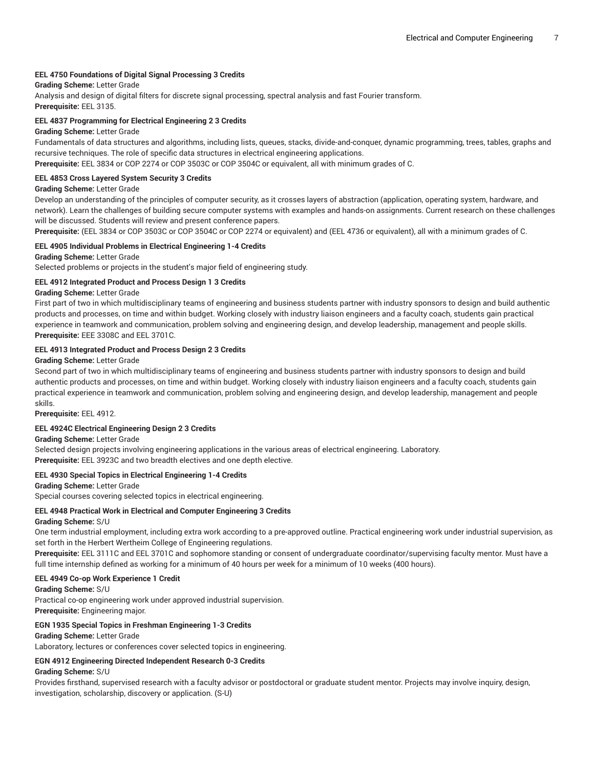# **EEL 4750 Foundations of Digital Signal Processing 3 Credits**

# **Grading Scheme:** Letter Grade

Analysis and design of digital filters for discrete signal processing, spectral analysis and fast Fourier transform. **Prerequisite:** EEL 3135.

#### **EEL 4837 Programming for Electrical Engineering 2 3 Credits**

#### **Grading Scheme:** Letter Grade

Fundamentals of data structures and algorithms, including lists, queues, stacks, divide-and-conquer, dynamic programming, trees, tables, graphs and recursive techniques. The role of specific data structures in electrical engineering applications.

**Prerequisite:** EEL 3834 or COP 2274 or COP 3503C or COP 3504C or equivalent, all with minimum grades of C.

#### **EEL 4853 Cross Layered System Security 3 Credits**

#### **Grading Scheme:** Letter Grade

Develop an understanding of the principles of computer security, as it crosses layers of abstraction (application, operating system, hardware, and network). Learn the challenges of building secure computer systems with examples and hands-on assignments. Current research on these challenges will be discussed. Students will review and present conference papers.

**Prerequisite:** (EEL 3834 or COP 3503C or COP 3504C or COP 2274 or equivalent) and (EEL 4736 or equivalent), all with a minimum grades of C.

#### **EEL 4905 Individual Problems in Electrical Engineering 1-4 Credits**

# **Grading Scheme:** Letter Grade

Selected problems or projects in the student's major field of engineering study.

# **EEL 4912 Integrated Product and Process Design 1 3 Credits**

#### **Grading Scheme:** Letter Grade

First part of two in which multidisciplinary teams of engineering and business students partner with industry sponsors to design and build authentic products and processes, on time and within budget. Working closely with industry liaison engineers and a faculty coach, students gain practical experience in teamwork and communication, problem solving and engineering design, and develop leadership, management and people skills. **Prerequisite:** EEE 3308C and EEL 3701C.

#### **EEL 4913 Integrated Product and Process Design 2 3 Credits**

#### **Grading Scheme:** Letter Grade

Second part of two in which multidisciplinary teams of engineering and business students partner with industry sponsors to design and build authentic products and processes, on time and within budget. Working closely with industry liaison engineers and a faculty coach, students gain practical experience in teamwork and communication, problem solving and engineering design, and develop leadership, management and people skills.

**Prerequisite:** EEL 4912.

#### **EEL 4924C Electrical Engineering Design 2 3 Credits**

**Grading Scheme:** Letter Grade

Selected design projects involving engineering applications in the various areas of electrical engineering. Laboratory.

**Prerequisite:** EEL 3923C and two breadth electives and one depth elective.

#### **EEL 4930 Special Topics in Electrical Engineering 1-4 Credits**

**Grading Scheme:** Letter Grade Special courses covering selected topics in electrical engineering.

# **EEL 4948 Practical Work in Electrical and Computer Engineering 3 Credits**

#### **Grading Scheme:** S/U

One term industrial employment, including extra work according to a pre-approved outline. Practical engineering work under industrial supervision, as set forth in the Herbert Wertheim College of Engineering regulations.

**Prerequisite:** EEL 3111C and EEL 3701C and sophomore standing or consent of undergraduate coordinator/supervising faculty mentor. Must have a full time internship defined as working for a minimum of 40 hours per week for a minimum of 10 weeks (400 hours).

#### **EEL 4949 Co-op Work Experience 1 Credit**

#### **Grading Scheme:** S/U

Practical co-op engineering work under approved industrial supervision. **Prerequisite:** Engineering major.

#### **EGN 1935 Special Topics in Freshman Engineering 1-3 Credits**

#### **Grading Scheme:** Letter Grade

Laboratory, lectures or conferences cover selected topics in engineering.

### **EGN 4912 Engineering Directed Independent Research 0-3 Credits**

#### **Grading Scheme:** S/U

Provides firsthand, supervised research with a faculty advisor or postdoctoral or graduate student mentor. Projects may involve inquiry, design, investigation, scholarship, discovery or application. (S-U)